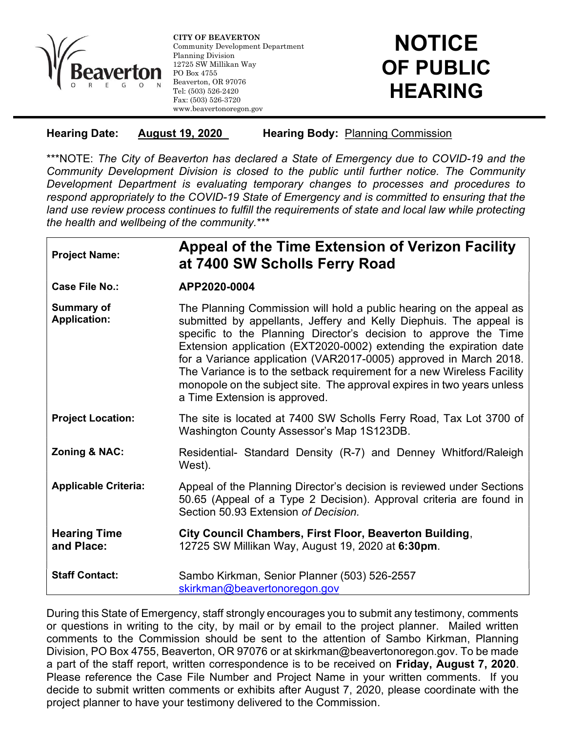

l

CITY OF BEAVERTON Community Development Department Planning Division 12725 SW Millikan Way PO Box 4755 Beaverton, OR 97076 Tel: (503) 526-2420 Fax: (503) 526-3720 www.beavertonoregon.gov

## Hearing Date: August 19, 2020 Hearing Body: Planning Commission

\*\*\*NOTE: The City of Beaverton has declared a State of Emergency due to COVID-19 and the Community Development Division is closed to the public until further notice. The Community Development Department is evaluating temporary changes to processes and procedures to respond appropriately to the COVID-19 State of Emergency and is committed to ensuring that the land use review process continues to fulfill the requirements of state and local law while protecting the health and wellbeing of the community.\*\*\*

| <b>Project Name:</b>                     | Appeal of the Time Extension of Verizon Facility<br>at 7400 SW Scholls Ferry Road                                                                                                                                                                                                                                                                                                                                                                                                                                                             |
|------------------------------------------|-----------------------------------------------------------------------------------------------------------------------------------------------------------------------------------------------------------------------------------------------------------------------------------------------------------------------------------------------------------------------------------------------------------------------------------------------------------------------------------------------------------------------------------------------|
| <b>Case File No.:</b>                    | APP2020-0004                                                                                                                                                                                                                                                                                                                                                                                                                                                                                                                                  |
| <b>Summary of</b><br><b>Application:</b> | The Planning Commission will hold a public hearing on the appeal as<br>submitted by appellants, Jeffery and Kelly Diephuis. The appeal is<br>specific to the Planning Director's decision to approve the Time<br>Extension application (EXT2020-0002) extending the expiration date<br>for a Variance application (VAR2017-0005) approved in March 2018.<br>The Variance is to the setback requirement for a new Wireless Facility<br>monopole on the subject site. The approval expires in two years unless<br>a Time Extension is approved. |
| <b>Project Location:</b>                 | The site is located at 7400 SW Scholls Ferry Road, Tax Lot 3700 of<br>Washington County Assessor's Map 1S123DB.                                                                                                                                                                                                                                                                                                                                                                                                                               |
| <b>Zoning &amp; NAC:</b>                 | Residential- Standard Density (R-7) and Denney Whitford/Raleigh<br>West).                                                                                                                                                                                                                                                                                                                                                                                                                                                                     |
| <b>Applicable Criteria:</b>              | Appeal of the Planning Director's decision is reviewed under Sections<br>50.65 (Appeal of a Type 2 Decision). Approval criteria are found in<br>Section 50.93 Extension of Decision.                                                                                                                                                                                                                                                                                                                                                          |
| <b>Hearing Time</b><br>and Place:        | City Council Chambers, First Floor, Beaverton Building,<br>12725 SW Millikan Way, August 19, 2020 at 6:30pm.                                                                                                                                                                                                                                                                                                                                                                                                                                  |
| <b>Staff Contact:</b>                    | Sambo Kirkman, Senior Planner (503) 526-2557<br>skirkman@beavertonoregon.gov                                                                                                                                                                                                                                                                                                                                                                                                                                                                  |

During this State of Emergency, staff strongly encourages you to submit any testimony, comments or questions in writing to the city, by mail or by email to the project planner. Mailed written comments to the Commission should be sent to the attention of Sambo Kirkman, Planning Division, PO Box 4755, Beaverton, OR 97076 or at skirkman@beavertonoregon.gov. To be made a part of the staff report, written correspondence is to be received on Friday, August 7, 2020. Please reference the Case File Number and Project Name in your written comments. If you decide to submit written comments or exhibits after August 7, 2020, please coordinate with the project planner to have your testimony delivered to the Commission.